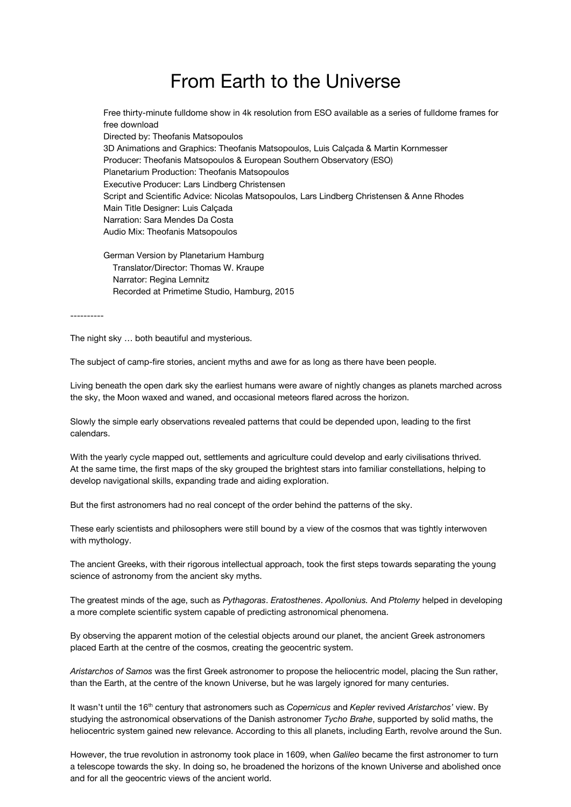## From Earth to the Universe

Free thirty-minute fulldome show in 4k resolution from ESO available as a series of fulldome frames for free download Directed by: Theofanis Matsopoulos 3D Animations and Graphics: Theofanis Matsopoulos, Luis Calçada & Martin Kornmesser Producer: Theofanis Matsopoulos & European Southern Observatory (ESO) Planetarium Production: Theofanis Matsopoulos Executive Producer: Lars Lindberg Christensen Script and Scientific Advice: Nicolas Matsopoulos, Lars Lindberg Christensen & Anne Rhodes Main Title Designer: Luis Calçada Narration: Sara Mendes Da Costa Audio Mix: Theofanis Matsopoulos

German Version by Planetarium Hamburg Translator/Director: Thomas W. Kraupe Narrator: Regina Lemnitz Recorded at Primetime Studio, Hamburg, 2015

----------

The night sky … both beautiful and mysterious.

The subject of camp-fire stories, ancient myths and awe for as long as there have been people.

Living beneath the open dark sky the earliest humans were aware of nightly changes as planets marched across the sky, the Moon waxed and waned, and occasional meteors flared across the horizon.

Slowly the simple early observations revealed patterns that could be depended upon, leading to the first calendars.

With the yearly cycle mapped out, settlements and agriculture could develop and early civilisations thrived. At the same time, the first maps of the sky grouped the brightest stars into familiar constellations, helping to develop navigational skills, expanding trade and aiding exploration.

But the first astronomers had no real concept of the order behind the patterns of the sky.

These early scientists and philosophers were still bound by a view of the cosmos that was tightly interwoven with mythology.

The ancient Greeks, with their rigorous intellectual approach, took the first steps towards separating the young science of astronomy from the ancient sky myths.

The greatest minds of the age, such as *Pythagoras*. *Eratosthenes*. *Apollonius.* And *Ptolemy* helped in developing a more complete scientific system capable of predicting astronomical phenomena.

By observing the apparent motion of the celestial objects around our planet, the ancient Greek astronomers placed Earth at the centre of the cosmos, creating the geocentric system.

*Aristarchos of Samos* was the first Greek astronomer to propose the heliocentric model, placing the Sun rather, than the Earth, at the centre of the known Universe, but he was largely ignored for many centuries.

It wasn't until the 16<sup>th</sup> century that astronomers such as *Copernicus* and *Kepler* revived *Aristarchos' v*iew. By studying the astronomical observations of the Danish astronomer *Tycho Brahe*, supported by solid maths, the heliocentric system gained new relevance. According to this all planets, including Earth, revolve around the Sun.

However, the true revolution in astronomy took place in 1609, when *Galileo* became the first astronomer to turn a telescope towards the sky. In doing so, he broadened the horizons of the known Universe and abolished once and for all the geocentric views of the ancient world.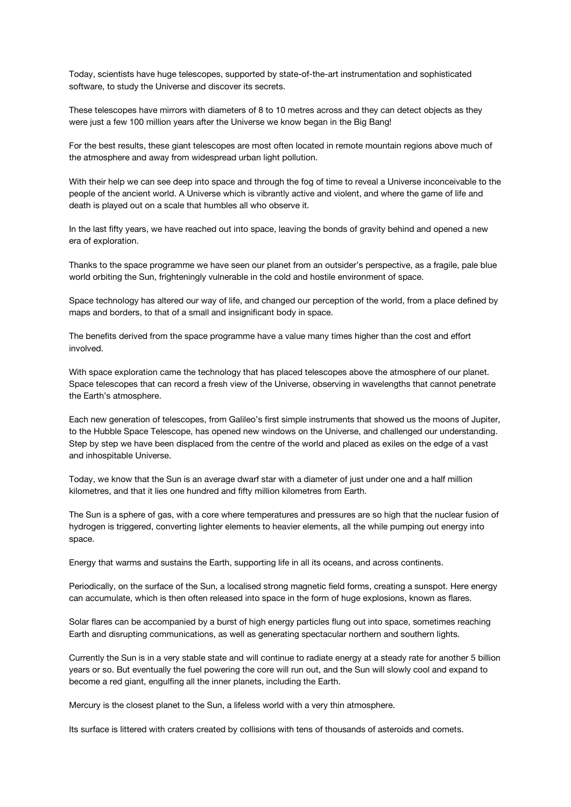Today, scientists have huge telescopes, supported by state-of-the-art instrumentation and sophisticated software, to study the Universe and discover its secrets.

These telescopes have mirrors with diameters of 8 to 10 metres across and they can detect objects as they were just a few 100 million years after the Universe we know began in the Big Bang!

For the best results, these giant telescopes are most often located in remote mountain regions above much of the atmosphere and away from widespread urban light pollution.

With their help we can see deep into space and through the fog of time to reveal a Universe inconceivable to the people of the ancient world. A Universe which is vibrantly active and violent, and where the game of life and death is played out on a scale that humbles all who observe it.

In the last fifty years, we have reached out into space, leaving the bonds of gravity behind and opened a new era of exploration.

Thanks to the space programme we have seen our planet from an outsider's perspective, as a fragile, pale blue world orbiting the Sun, frighteningly vulnerable in the cold and hostile environment of space.

Space technology has altered our way of life, and changed our perception of the world, from a place defined by maps and borders, to that of a small and insignificant body in space.

The benefits derived from the space programme have a value many times higher than the cost and effort involved.

With space exploration came the technology that has placed telescopes above the atmosphere of our planet. Space telescopes that can record a fresh view of the Universe, observing in wavelengths that cannot penetrate the Earth's atmosphere.

Each new generation of telescopes, from Galileo's first simple instruments that showed us the moons of Jupiter, to the Hubble Space Telescope, has opened new windows on the Universe, and challenged our understanding. Step by step we have been displaced from the centre of the world and placed as exiles on the edge of a vast and inhospitable Universe.

Today, we know that the Sun is an average dwarf star with a diameter of just under one and a half million kilometres, and that it lies one hundred and fifty million kilometres from Earth.

The Sun is a sphere of gas, with a core where temperatures and pressures are so high that the nuclear fusion of hydrogen is triggered, converting lighter elements to heavier elements, all the while pumping out energy into space.

Energy that warms and sustains the Earth, supporting life in all its oceans, and across continents.

Periodically, on the surface of the Sun, a localised strong magnetic field forms, creating a sunspot. Here energy can accumulate, which is then often released into space in the form of huge explosions, known as flares.

Solar flares can be accompanied by a burst of high energy particles flung out into space, sometimes reaching Earth and disrupting communications, as well as generating spectacular northern and southern lights.

Currently the Sun is in a very stable state and will continue to radiate energy at a steady rate for another 5 billion years or so. But eventually the fuel powering the core will run out, and the Sun will slowly cool and expand to become a red giant, engulfing all the inner planets, including the Earth.

Mercury is the closest planet to the Sun, a lifeless world with a very thin atmosphere.

Its surface is littered with craters created by collisions with tens of thousands of asteroids and comets.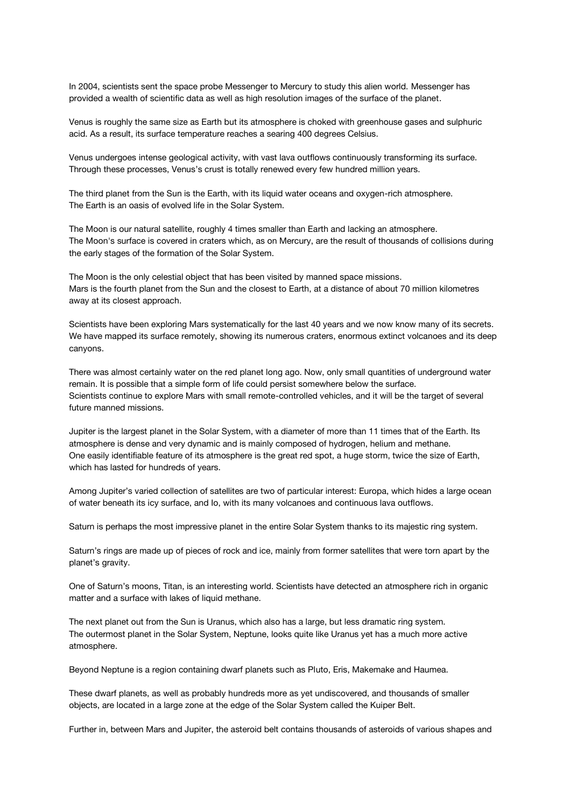In 2004, scientists sent the space probe Messenger to Mercury to study this alien world. Messenger has provided a wealth of scientific data as well as high resolution images of the surface of the planet.

Venus is roughly the same size as Earth but its atmosphere is choked with greenhouse gases and sulphuric acid. As a result, its surface temperature reaches a searing 400 degrees Celsius.

Venus undergoes intense geological activity, with vast lava outflows continuously transforming its surface. Through these processes, Venus's crust is totally renewed every few hundred million years.

The third planet from the Sun is the Earth, with its liquid water oceans and oxygen-rich atmosphere. The Earth is an oasis of evolved life in the Solar System.

The Moon is our natural satellite, roughly 4 times smaller than Earth and lacking an atmosphere. The Moon's surface is covered in craters which, as on Mercury, are the result of thousands of collisions during the early stages of the formation of the Solar System.

The Moon is the only celestial object that has been visited by manned space missions. Mars is the fourth planet from the Sun and the closest to Earth, at a distance of about 70 million kilometres away at its closest approach.

Scientists have been exploring Mars systematically for the last 40 years and we now know many of its secrets. We have mapped its surface remotely, showing its numerous craters, enormous extinct volcanoes and its deep canyons.

There was almost certainly water on the red planet long ago. Now, only small quantities of underground water remain. It is possible that a simple form of life could persist somewhere below the surface. Scientists continue to explore Mars with small remote-controlled vehicles, and it will be the target of several future manned missions.

Jupiter is the largest planet in the Solar System, with a diameter of more than 11 times that of the Earth. Its atmosphere is dense and very dynamic and is mainly composed of hydrogen, helium and methane. One easily identifiable feature of its atmosphere is the great red spot, a huge storm, twice the size of Earth, which has lasted for hundreds of years.

Among Jupiter's varied collection of satellites are two of particular interest: Europa, which hides a large ocean of water beneath its icy surface, and Io, with its many volcanoes and continuous lava outflows.

Saturn is perhaps the most impressive planet in the entire Solar System thanks to its majestic ring system.

Saturn's rings are made up of pieces of rock and ice, mainly from former satellites that were torn apart by the planet's gravity.

One of Saturn's moons, Titan, is an interesting world. Scientists have detected an atmosphere rich in organic matter and a surface with lakes of liquid methane.

The next planet out from the Sun is Uranus, which also has a large, but less dramatic ring system. The outermost planet in the Solar System, Neptune, looks quite like Uranus yet has a much more active atmosphere.

Beyond Neptune is a region containing dwarf planets such as Pluto, Eris, Makemake and Haumea.

These dwarf planets, as well as probably hundreds more as yet undiscovered, and thousands of smaller objects, are located in a large zone at the edge of the Solar System called the Kuiper Belt.

Further in, between Mars and Jupiter, the asteroid belt contains thousands of asteroids of various shapes and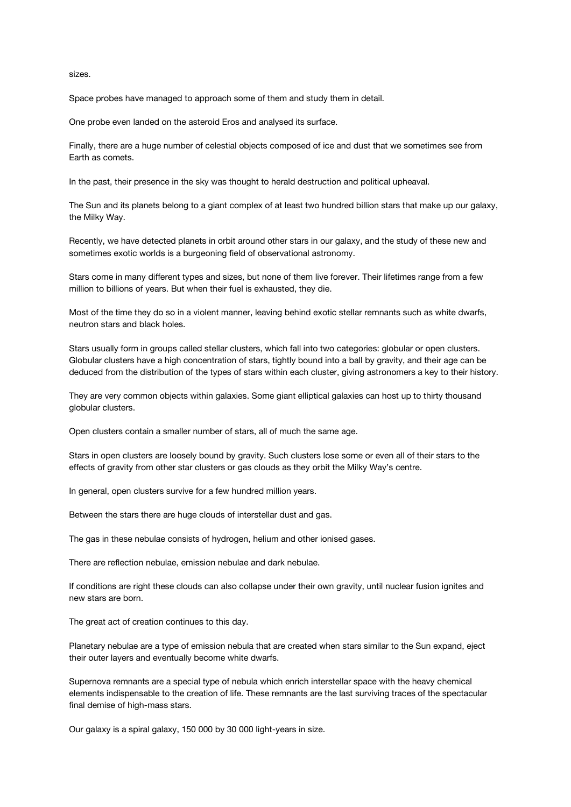sizes.

Space probes have managed to approach some of them and study them in detail.

One probe even landed on the asteroid Eros and analysed its surface.

Finally, there are a huge number of celestial objects composed of ice and dust that we sometimes see from Earth as comets.

In the past, their presence in the sky was thought to herald destruction and political upheaval.

The Sun and its planets belong to a giant complex of at least two hundred billion stars that make up our galaxy, the Milky Way.

Recently, we have detected planets in orbit around other stars in our galaxy, and the study of these new and sometimes exotic worlds is a burgeoning field of observational astronomy.

Stars come in many different types and sizes, but none of them live forever. Their lifetimes range from a few million to billions of years. But when their fuel is exhausted, they die.

Most of the time they do so in a violent manner, leaving behind exotic stellar remnants such as white dwarfs, neutron stars and black holes.

Stars usually form in groups called stellar clusters, which fall into two categories: globular or open clusters. Globular clusters have a high concentration of stars, tightly bound into a ball by gravity, and their age can be deduced from the distribution of the types of stars within each cluster, giving astronomers a key to their history.

They are very common objects within galaxies. Some giant elliptical galaxies can host up to thirty thousand globular clusters.

Open clusters contain a smaller number of stars, all of much the same age.

Stars in open clusters are loosely bound by gravity. Such clusters lose some or even all of their stars to the effects of gravity from other star clusters or gas clouds as they orbit the Milky Way's centre.

In general, open clusters survive for a few hundred million years.

Between the stars there are huge clouds of interstellar dust and gas.

The gas in these nebulae consists of hydrogen, helium and other ionised gases.

There are reflection nebulae, emission nebulae and dark nebulae.

If conditions are right these clouds can also collapse under their own gravity, until nuclear fusion ignites and new stars are born.

The great act of creation continues to this day.

Planetary nebulae are a type of emission nebula that are created when stars similar to the Sun expand, eject their outer layers and eventually become white dwarfs.

Supernova remnants are a special type of nebula which enrich interstellar space with the heavy chemical elements indispensable to the creation of life. These remnants are the last surviving traces of the spectacular final demise of high-mass stars.

Our galaxy is a spiral galaxy, 150 000 by 30 000 light-years in size.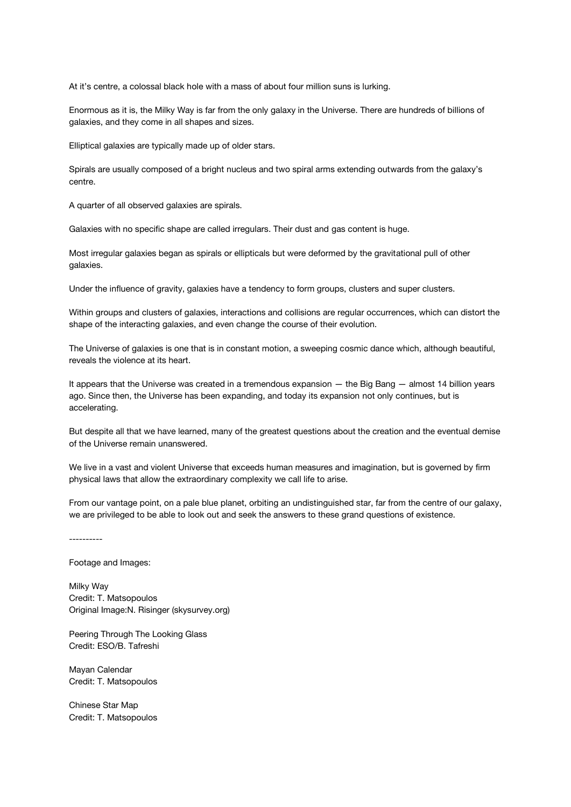At it's centre, a colossal black hole with a mass of about four million suns is lurking.

Enormous as it is, the Milky Way is far from the only galaxy in the Universe. There are hundreds of billions of galaxies, and they come in all shapes and sizes.

Elliptical galaxies are typically made up of older stars.

Spirals are usually composed of a bright nucleus and two spiral arms extending outwards from the galaxy's centre.

A quarter of all observed galaxies are spirals.

Galaxies with no specific shape are called irregulars. Their dust and gas content is huge.

Most irregular galaxies began as spirals or ellipticals but were deformed by the gravitational pull of other galaxies.

Under the influence of gravity, galaxies have a tendency to form groups, clusters and super clusters.

Within groups and clusters of galaxies, interactions and collisions are regular occurrences, which can distort the shape of the interacting galaxies, and even change the course of their evolution.

The Universe of galaxies is one that is in constant motion, a sweeping cosmic dance which, although beautiful, reveals the violence at its heart.

It appears that the Universe was created in a tremendous expansion — the Big Bang — almost 14 billion years ago. Since then, the Universe has been expanding, and today its expansion not only continues, but is accelerating.

But despite all that we have learned, many of the greatest questions about the creation and the eventual demise of the Universe remain unanswered.

We live in a vast and violent Universe that exceeds human measures and imagination, but is governed by firm physical laws that allow the extraordinary complexity we call life to arise.

From our vantage point, on a pale blue planet, orbiting an undistinguished star, far from the centre of our galaxy, we are privileged to be able to look out and seek the answers to these grand questions of existence.

----------

Footage and Images:

Milky Way Credit: T. Matsopoulos Original Image:N. Risinger (skysurvey.org)

Peering Through The Looking Glass Credit: ESO/B. Tafreshi

Mayan Calendar Credit: T. Matsopoulos

Chinese Star Map Credit: T. Matsopoulos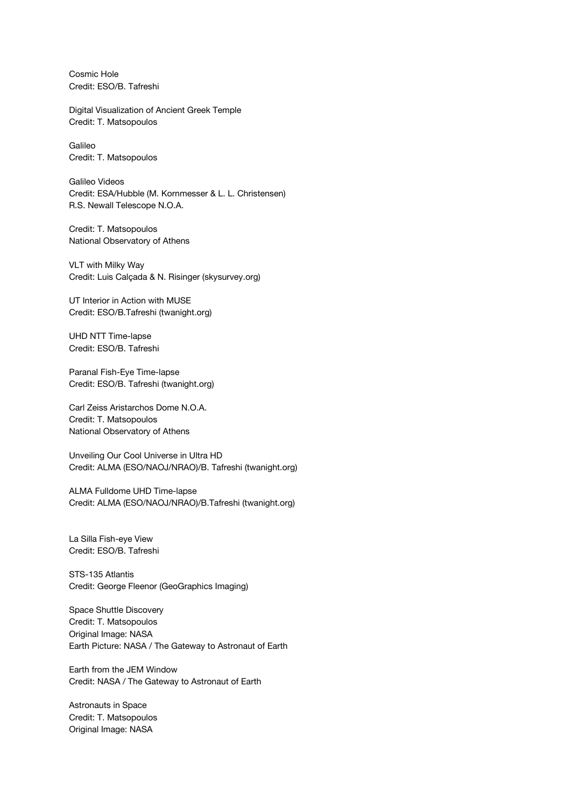Cosmic Hole Credit: ESO/B. Tafreshi

Digital Visualization of Ancient Greek Temple Credit: T. Matsopoulos

Galileo Credit: T. Matsopoulos

Galileo Videos Credit: ESA/Hubble (M. Kornmesser & L. L. Christensen) R.S. Newall Telescope N.O.A.

Credit: T. Matsopoulos National Observatory of Athens

VLT with Milky Way Credit: Luis Calçada & N. Risinger (skysurvey.org)

UT Interior in Action with MUSE Credit: ESO/B.Tafreshi (twanight.org)

UHD NTT Time-lapse Credit: ESO/B. Tafreshi

Paranal Fish-Eye Time-lapse Credit: ESO/B. Tafreshi (twanight.org)

Carl Zeiss Aristarchos Dome N.O.A. Credit: T. Matsopoulos National Observatory of Athens

Unveiling Our Cool Universe in Ultra HD Credit: ALMA (ESO/NAOJ/NRAO)/B. Tafreshi (twanight.org)

ALMA Fulldome UHD Time-lapse Credit: ALMA (ESO/NAOJ/NRAO)/B.Tafreshi (twanight.org)

La Silla Fish-eye View Credit: ESO/B. Tafreshi

STS-135 Atlantis Credit: George Fleenor (GeoGraphics Imaging)

Space Shuttle Discovery Credit: T. Matsopoulos Original Image: NASA Earth Picture: NASA / The Gateway to Astronaut of Earth

Earth from the JEM Window Credit: NASA / The Gateway to Astronaut of Earth

Astronauts in Space Credit: T. Matsopoulos Original Image: NASA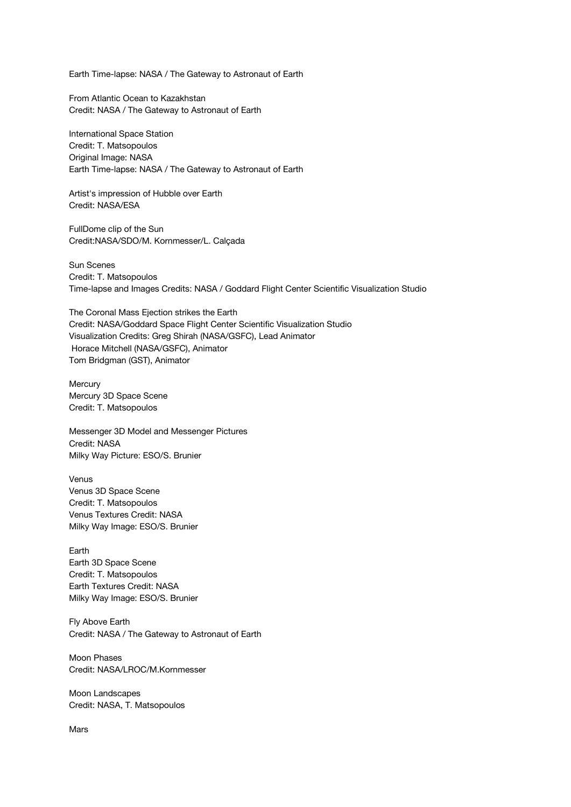Earth Time-lapse: NASA / The Gateway to Astronaut of Earth

From Atlantic Ocean to Kazakhstan Credit: NASA / The Gateway to Astronaut of Earth

International Space Station Credit: T. Matsopoulos Original Image: NASA Earth Time-lapse: NASA / The Gateway to Astronaut of Earth

Artist's impression of Hubble over Earth Credit: NASA/ESA

FullDome clip of the Sun Credit:NASA/SDO/M. Kornmesser/L. Calçada

Sun Scenes Credit: T. Matsopoulos Time-lapse and Images Credits: NASA / Goddard Flight Center Scientific Visualization Studio

The Coronal Mass Ejection strikes the Earth Credit: NASA/Goddard Space Flight Center Scientific Visualization Studio Visualization Credits: Greg Shirah (NASA/GSFC), Lead Animator Horace Mitchell (NASA/GSFC), Animator Tom Bridgman (GST), Animator

**Mercury** Mercury 3D Space Scene Credit: T. Matsopoulos

Messenger 3D Model and Messenger Pictures Credit: NASA Milky Way Picture: ESO/S. Brunier

Venus Venus 3D Space Scene Credit: T. Matsopoulos Venus Textures Credit: NASA Milky Way Image: ESO/S. Brunier

Earth Earth 3D Space Scene Credit: T. Matsopoulos Earth Textures Credit: NASA Milky Way Image: ESO/S. Brunier

Fly Above Earth Credit: NASA / The Gateway to Astronaut of Earth

Moon Phases Credit: NASA/LROC/M.Kornmesser

Moon Landscapes Credit: NASA, T. Matsopoulos

Mars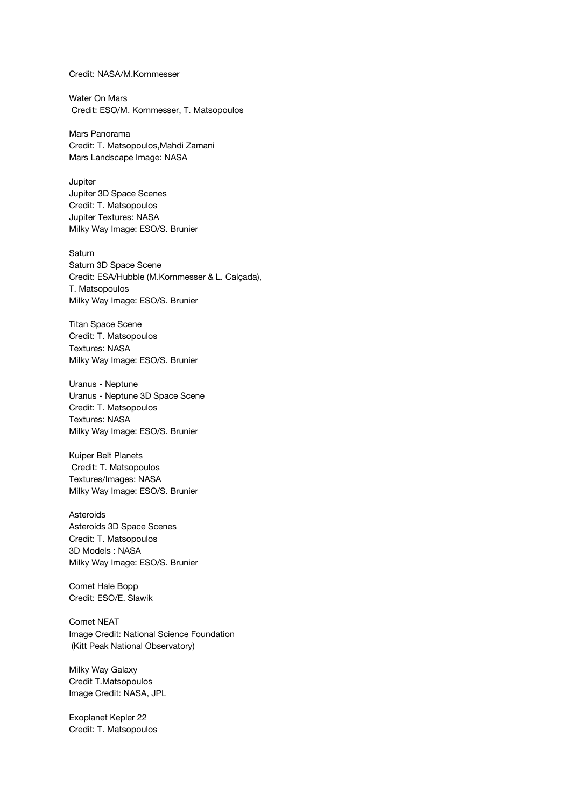Credit: NASA/M.Kornmesser

Water On Mars Credit: ESO/M. Kornmesser, T. Matsopoulos

Mars Panorama Credit: T. Matsopoulos,Mahdi Zamani Mars Landscape Image: NASA

Jupiter Jupiter 3D Space Scenes Credit: T. Matsopoulos Jupiter Textures: NASA Milky Way Image: ESO/S. Brunier

Saturn Saturn 3D Space Scene Credit: ESA/Hubble (M.Kornmesser & L. Calçada), T. Matsopoulos Milky Way Image: ESO/S. Brunier

Titan Space Scene Credit: T. Matsopoulos Textures: NASA Milky Way Image: ESO/S. Brunier

Uranus - Neptune Uranus - Neptune 3D Space Scene Credit: T. Matsopoulos Textures: NASA Milky Way Image: ESO/S. Brunier

Kuiper Belt Planets Credit: T. Matsopoulos Textures/Images: NASA Milky Way Image: ESO/S. Brunier

Asteroids Asteroids 3D Space Scenes Credit: T. Matsopoulos 3D Models : NASA Milky Way Image: ESO/S. Brunier

Comet Hale Bopp Credit: ESO/E. Slawik

Comet NEAT Image Credit: National Science Foundation (Kitt Peak National Observatory)

Milky Way Galaxy Credit T.Matsopoulos Image Credit: NASA, JPL

Exoplanet Kepler 22 Credit: T. Matsopoulos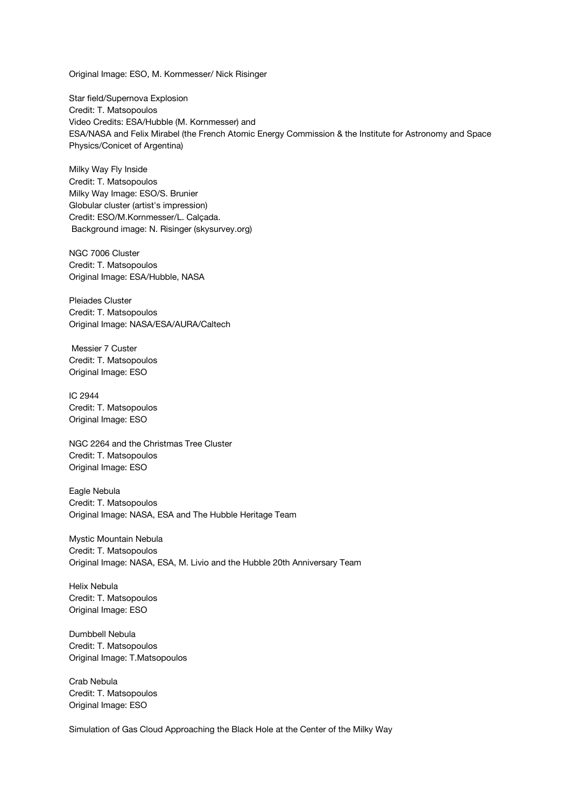Original Image: ESO, M. Kornmesser/ Nick Risinger

Star field/Supernova Explosion Credit: T. Matsopoulos Video Credits: ESA/Hubble (M. Kornmesser) and ESA/NASA and Felix Mirabel (the French Atomic Energy Commission & the Institute for Astronomy and Space Physics/Conicet of Argentina)

Milky Way Fly Inside Credit: T. Matsopoulos Milky Way Image: ESO/S. Brunier Globular cluster (artist's impression) Credit: ESO/M.Kornmesser/L. Calçada. Background image: N. Risinger (skysurvey.org)

NGC 7006 Cluster Credit: T. Matsopoulos Original Image: ESA/Hubble, NASA

Pleiades Cluster Credit: T. Matsopoulos Original Image: NASA/ESA/AURA/Caltech

 Messier 7 Custer Credit: T. Matsopoulos Original Image: ESO

IC 2944 Credit: T. Matsopoulos Original Image: ESO

NGC 2264 and the Christmas Tree Cluster Credit: T. Matsopoulos Original Image: ESO

Eagle Nebula Credit: T. Matsopoulos Original Image: NASA, ESA and The Hubble Heritage Team

Mystic Mountain Nebula Credit: T. Matsopoulos Original Image: NASA, ESA, M. Livio and the Hubble 20th Anniversary Team

Helix Nebula Credit: T. Matsopoulos Original Image: ESO

Dumbbell Nebula Credit: T. Matsopoulos Original Image: T.Matsopoulos

Crab Nebula Credit: T. Matsopoulos Original Image: ESO

Simulation of Gas Cloud Approaching the Black Hole at the Center of the Milky Way